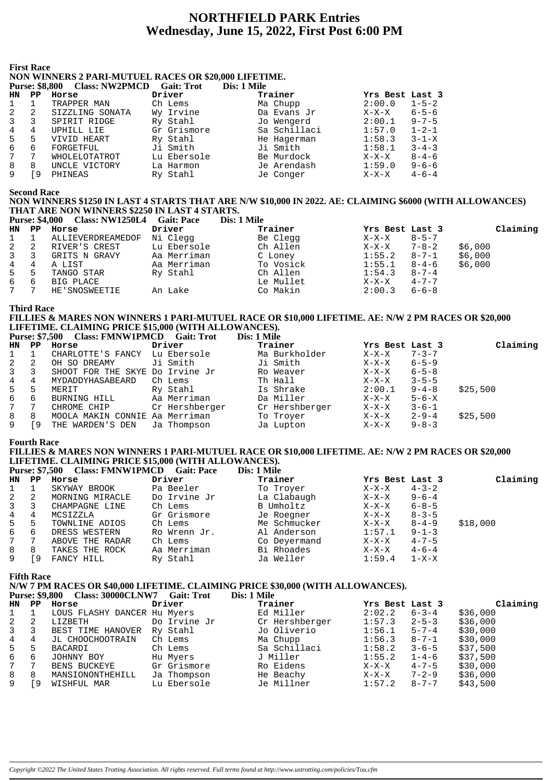# **NORTHFIELD PARK Entries** Wednesday, June 15, 2022, First Post 6:00 PM

#### **First Race**

# NON WINNERS 2 PARI-MUTUEL RACES OR \$20,000 LIFETIME.

|    | Purse; do,ovv | URISS; INVERTIJULI | - Gail: Trol | DIS: 1 MHE   |                 |             |
|----|---------------|--------------------|--------------|--------------|-----------------|-------------|
| HN | PP            | Horse              | Driver       | Trainer      | Yrs Best Last 3 |             |
|    |               | TRAPPER MAN        | Ch Lems      | Ma Chupp     | 2:00.0          | $1 - 5 - 2$ |
|    | 2             | SIZZLING SONATA    | Wy Irvine    | Da Evans Jr  | $X-X-X$         | $6 - 5 - 6$ |
|    | 3             | SPIRIT RIDGE       | Ry Stahl     | Jo Wengerd   | 2:00.1          | $9 - 7 - 5$ |
|    | 4             | UPHILL LIE         | Gr Grismore  | Sa Schillaci | 1:57.0          | $1 - 2 - 1$ |
| 5. | 5             | VIVID HEART        | Ry Stahl     | He Hagerman  | 1:58.3          | $3 - 1 - X$ |
| 6  | 6             | FORGETFUL          | Ji Smith     | Ji Smith     | 1:58.1          | $3 - 4 - 3$ |
|    | 7             | WHOLELOTATROT      | Lu Ebersole  | Be Murdock   | $X-X-X$         | $8 - 4 - 6$ |
| 8  | 8             | UNCLE VICTORY      | La Harmon    | Je Arendash  | 1:59.0          | $9 - 6 - 6$ |
|    | 9             | PHINEAS            | Ry Stahl     | Je Conger    | X-X-X           | $4 - 6 - 4$ |
|    |               |                    |              |              |                 |             |

#### **Second Race**

## NON WINNERS \$1250 IN LAST 4 STARTS THAT ARE N/W \$10,000 IN 2022. AE: CLAIMING \$6000 (WITH ALLOWANCES) THAT ARE NON WINNERS \$2250 IN LAST 4 STARTS.

|       | <b>Purse: \$4,000</b> | Class: NW1250L4 Gait: Pace |             | Dis: 1 Mile |                 |             |          |
|-------|-----------------------|----------------------------|-------------|-------------|-----------------|-------------|----------|
| HN PP |                       | Horse                      | Driver      | Trainer     | Yrs Best Last 3 |             | Claiming |
| 1     |                       | ALLIEVERDREAMEDOF          | Ni Clegg    | Be Clegg    | X-X-X           | $8 - 5 - 7$ |          |
| 2     | -2                    | RIVER'S CREST              | Lu Ebersole | Ch Allen    | $X-X-X$         | $7 - 8 - 2$ | \$6,000  |
| 3     | -3                    | GRITS N GRAVY              | Aa Merriman | C Loney     | 1:55.2          | 8-7-1       | \$6,000  |
| 4     | 4                     | A LIST                     | Aa Merriman | To Vosick   | 1:55.1          | $8 - 4 - 6$ | \$6,000  |
| $5 -$ | 5                     | TANGO STAR                 | Ry Stahl    | Ch Allen    | 1:54.3          | $8 - 7 - 4$ |          |
| 6     | -6                    | BIG PLACE                  |             | Le Mullet   | $X-X-X$         | $4 - 7 - 7$ |          |
| 7     |                       | HE'SNOSWEETIE              | An Lake     | Co Makin    | 2:00.3          | $6 - 6 - 8$ |          |

**Third Race** 

#### FILLIES & MARES NON WINNERS 1 PARI-MUTUEL RACE OR \$10,000 LIFETIME. AE: N/W 2 PM RACES OR \$20,000 LIFETIME. CLAIMING PRICE \$15,000 (WITH ALLOWANCES). Purse: \$7.500 Class: FMNW1PMCD Gait: Trot  $\mathbf{N}_{\alpha}$  1 Mile

|                |     | Turst. Vietro Class. Film with the Call. The |                | <b>DIS. 1 BIR</b> |                |                 |             |          |
|----------------|-----|----------------------------------------------|----------------|-------------------|----------------|-----------------|-------------|----------|
| HN PP          |     | Horse                                        | Driver         |                   | Trainer        | Yrs Best Last 3 |             | Claiming |
|                |     | CHARLOTTE'S FANCY Lu Ebersole                |                |                   | Ma Burkholder  | $X-X-X$         | $7 - 3 - 7$ |          |
| 2              | 2   | OH SO DREAMY                                 | Ji Smith       |                   | Ji Smith       | X-X-X           | $6 - 5 - 9$ |          |
| $\overline{3}$ |     | SHOOT FOR THE SKYE Do Irvine Jr              |                |                   | Ro Weaver      | X-X-X           | $6 - 5 - 8$ |          |
| 4              | 4   | MYDADDYHASABEARD                             | Ch Lems        |                   | Th Hall        | $X-X-X$         | $3 - 5 - 5$ |          |
| $5 -$          | 5   | MERIT                                        | Ry Stahl       |                   | Is Shrake      | 2:00.1          | $9 - 4 - 8$ | \$25,500 |
| 6              | - 6 | BURNING HILL                                 | Aa Merriman    |                   | Da Miller      | $X-X-X$         | $5 - 6 - X$ |          |
| 7              |     | CHROME CHIP                                  | Cr Hershberger |                   | Cr Hershberger | X-X-X           | $3 - 6 - 1$ |          |
| 8              | 8   | MOOLA MAKIN CONNIE Aa Merriman               |                |                   | To Troyer      | X-X-X           | $2 - 9 - 4$ | \$25,500 |
| 9              | 9   | THE WARDEN'S DEN Ja Thompson                 |                |                   | Ja Lupton      | X-X-X           | $9 - 8 - 3$ |          |

## **Fourth Race**

#### FILLIES & MARES NON WINNERS 1 PARI-MUTUEL RACE OR \$10,000 LIFETIME. AE: N/W 2 PM RACES OR \$20,000 LIFETIME. CLAIMING PRICE \$15,000 (WITH ALLOWANCES). Class: EMNW1PM  $b_{\text{tmod}}$ ,  $\mathbf{\Phi}$ 7, 500  $\frac{1}{2}$

|                |    | <b>FUISE: 37,500 CLASS: FININ WIFINICD GAIL: FACE</b> |              | DIS: 1 MHE   |                 |             |          |
|----------------|----|-------------------------------------------------------|--------------|--------------|-----------------|-------------|----------|
| HN PP          |    | Horse                                                 | Driver       | Trainer      | Yrs Best Last 3 |             | Claiming |
|                |    | SKYWAY BROOK                                          | Pa Beeler    | To Troyer    | $X-X-X$         | $4 - 3 - 2$ |          |
| 2              | -2 | MORNING MIRACLE                                       | Do Irvine Jr | La Clabaugh  | $X-X-X$         | $9 - 6 - 4$ |          |
| 3              |    | CHAMPAGNE LINE                                        | Ch Lems      | B Umholtz    | $X-X-X$         | $6 - 8 - 5$ |          |
| 4              | 4  | MCSIZZLA                                              | Gr Grismore  | Je Roegner   | X-X-X           | $8 - 3 - 5$ |          |
| 5 <sub>1</sub> | -5 | TOWNLINE ADIOS                                        | Ch Lems      | Me Schmucker | $X-X-X$         | $8 - 4 - 9$ | \$18,000 |
| 6              | 6  | DRESS WESTERN                                         | Ro Wrenn Jr. | Al Anderson  | 1:57.1          | $9 - 1 - 3$ |          |
| 7              |    | ABOVE THE RADAR                                       | Ch Lems      | Co Deyermand | X-X-X           | $4 - 7 - 5$ |          |
| 8              | 8  | TAKES THE ROCK                                        | Aa Merriman  | Bi Rhoades   | $X-X-X$         | $4 - 6 - 4$ |          |
| 9              | 9  | FANCY HILL                                            | Ry Stahl     | Ja Weller    | 1:59.4          | $1 - X - X$ |          |

**Fifth Race** 

#### N/W 7 PM RACES OR \$40,000 LIFETIME. CLAIMING PRICE \$30,000 (WITH ALLOWANCES). Purs

| se: \$9,800 | <b>Class: 30000CLNW7</b> | <b>Gait: Trot</b> | Dis: 1 Mile |
|-------------|--------------------------|-------------------|-------------|
|             |                          |                   |             |

|                | $HN$ $PP$ | Horse                       | Driver       | Trainer        | Yrs Best Last 3 |             | Claiming |
|----------------|-----------|-----------------------------|--------------|----------------|-----------------|-------------|----------|
| 1              |           | LOUS FLASHY DANCER Hu Myers |              | Ed Miller      | 2:02.2          | $6 - 3 - 4$ | \$36,000 |
| $\mathbf{2}$   | 2         | LIZBETH                     | Do Irvine Jr | Cr Hershberger | 1:57.3          | $2 - 5 - 3$ | \$36,000 |
| $3^{\circ}$    | 3         | BEST TIME HANOVER           | Ry Stahl     | Jo Oliverio    | 1:56.1          | $5 - 7 - 4$ | \$30,000 |
| $\overline{4}$ | 4         | JL CHOOCHOOTRAIN            | Ch Lems      | Ma Chupp       | 1:56.3          | 8-7-1       | \$30,000 |
| $5 -$          | 5         | BACARDI                     | Ch Lems      | Sa Schillaci   | 1:58.2          | $3 - 6 - 5$ | \$37,500 |
| 6              | 6         | JOHNNY BOY                  | Hu Myers     | J Miller       | 1:55.2          | $1 - 4 - 6$ | \$37,500 |
| $7^{\circ}$    |           | BENS BUCKEYE                | Gr Grismore  | Ro Eidens      | $X-X-X$         | $4 - 7 - 5$ | \$30,000 |
| 8              | 8         | MANSIONONTHEHILL            | Ja Thompson  | He Beachy      | $X-X-X$         | $7 - 2 - 9$ | \$36,000 |
| 9              | i 9       | WISHFUL MAR                 | Lu Ebersole  | Je Millner     | 1:57.2          | $8 - 7 - 7$ | \$43,500 |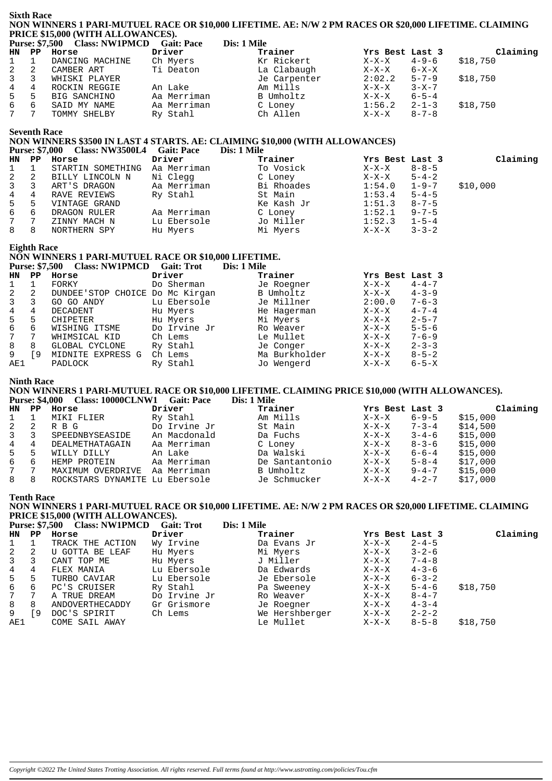|           | <b>Sixth Race</b><br>NON WINNERS 1 PARI-MUTUEL RACE OR \$10,000 LIFETIME. AE: N/W 2 PM RACES OR \$20,000 LIFETIME. CLAIMING<br>PRICE \$15,000 (WITH ALLOWANCES). |                                                                                                                                                                                         |                            |             |                             |                    |                            |          |  |
|-----------|------------------------------------------------------------------------------------------------------------------------------------------------------------------|-----------------------------------------------------------------------------------------------------------------------------------------------------------------------------------------|----------------------------|-------------|-----------------------------|--------------------|----------------------------|----------|--|
|           |                                                                                                                                                                  | Purse: \$7,500 Class: NW1PMCD Gait: Pace                                                                                                                                                |                            | Dis: 1 Mile |                             |                    |                            |          |  |
| <b>HN</b> | $_{\rm PP}$                                                                                                                                                      | Horse                                                                                                                                                                                   | Driver                     |             | Trainer                     | Yrs Best Last 3    |                            | Claiming |  |
| 1         | $\mathbf{1}$                                                                                                                                                     | DANCING MACHINE                                                                                                                                                                         | Ch Myers                   |             | Kr Rickert                  | X-X-X              | $4 - 9 - 6$                | \$18,750 |  |
| 2         | 2                                                                                                                                                                | CAMBER ART                                                                                                                                                                              | Ti Deaton                  |             | La Clabaugh                 | $X-X-X$            | 6-X-X                      |          |  |
| 3         | 3                                                                                                                                                                | WHISKI PLAYER                                                                                                                                                                           |                            |             | Je Carpenter                | 2:02.2             | $5 - 7 - 9$                | \$18,750 |  |
| 4         | $\overline{4}$                                                                                                                                                   | ROCKIN REGGIE                                                                                                                                                                           | An Lake                    |             | Am Mills                    | $X-X-X$            | $3 - X - 7$                |          |  |
| 5         | 5                                                                                                                                                                | BIG SANCHINO                                                                                                                                                                            | Aa Merriman                |             | B Umholtz                   | $X-X-X$            | $6 - 5 - 4$                |          |  |
| 6         | 6                                                                                                                                                                | SAID MY NAME                                                                                                                                                                            | Aa Merriman                |             | C Loney                     | 1:56.2             | $2 - 1 - 3$                | \$18,750 |  |
| 7         | 7                                                                                                                                                                | TOMMY SHELBY                                                                                                                                                                            | Ry Stahl                   |             | Ch Allen                    | $X-X-X$            | $8 - 7 - 8$                |          |  |
|           | <b>Seventh Race</b>                                                                                                                                              | NON WINNERS \$3500 IN LAST 4 STARTS. AE: CLAIMING \$10,000 (WITH ALLOWANCES)                                                                                                            |                            | Dis: 1 Mile |                             |                    |                            |          |  |
|           | <b>Purse: \$7,000</b><br>$\mathbf{PP}$                                                                                                                           | Class: NW3500L4 Gait: Pace                                                                                                                                                              | Driver                     |             |                             |                    |                            |          |  |
| <b>HN</b> |                                                                                                                                                                  | Horse                                                                                                                                                                                   |                            |             | Trainer                     | Yrs Best Last 3    |                            | Claiming |  |
| 1         | $\mathbf 1$                                                                                                                                                      | STARTIN SOMETHING Aa Merriman                                                                                                                                                           |                            |             | To Vosick                   | $X-X-X$            | $8 - 8 - 5$                |          |  |
| 2         | 2                                                                                                                                                                | BILLY LINCOLN N                                                                                                                                                                         | Ni Clegg                   |             | C Loney                     | $X-X-X$            | $5 - 4 - 2$                |          |  |
| 3         | 3<br>4                                                                                                                                                           | ART'S DRAGON                                                                                                                                                                            | Aa Merriman                |             | Bi Rhoades                  | 1:54.0             | $1 - 9 - 7$                | \$10,000 |  |
| 4         | 5                                                                                                                                                                | RAVE REVIEWS<br>VINTAGE GRAND                                                                                                                                                           | Ry Stahl                   |             | St Main                     | 1:53.4             | $5 - 4 - 5$                |          |  |
| 5<br>6    | 6                                                                                                                                                                |                                                                                                                                                                                         |                            |             | Ke Kash Jr<br>C Loney       | 1:51.3<br>1:52.1   | $8 - 7 - 5$<br>$9 - 7 - 5$ |          |  |
| 7         | 7                                                                                                                                                                | DRAGON RULER                                                                                                                                                                            | Aa Merriman<br>Lu Ebersole |             | Jo Miller                   | 1:52.3             |                            |          |  |
| 8         | 8                                                                                                                                                                | ZINNY MACH N<br>NORTHERN SPY                                                                                                                                                            | Hu Myers                   |             | Mi Myers                    | $X-X-X$            | $1 - 5 - 4$<br>$3 - 3 - 2$ |          |  |
|           |                                                                                                                                                                  |                                                                                                                                                                                         |                            |             |                             |                    |                            |          |  |
|           | <b>Eighth Race</b><br>NON WINNERS 1 PARI-MUTUEL RACE OR \$10,000 LIFETIME.<br><b>Purse: \$7,500</b><br>Class: NW1PMCD Gait: Trot<br>Dis: 1 Mile                  |                                                                                                                                                                                         |                            |             |                             |                    |                            |          |  |
| <b>HN</b> | $_{\rm PP}$                                                                                                                                                      | Horse                                                                                                                                                                                   | Driver                     |             | Trainer                     | Yrs Best Last 3    |                            |          |  |
| 1         | $\mathbf{1}$                                                                                                                                                     | FORKY                                                                                                                                                                                   | Do Sherman                 |             | Je Roegner                  | $X-X-X$            | $4 - 4 - 7$                |          |  |
| 2         | 2                                                                                                                                                                | DUNDEE'STOP CHOICE Do Mc Kirgan                                                                                                                                                         |                            |             | B Umholtz                   | $X-X-X$            | $4 - 3 - 9$                |          |  |
| 3         | 3                                                                                                                                                                | GO GO ANDY                                                                                                                                                                              | Lu Ebersole                |             | Je Millner                  | 2:00.0             | $7 - 6 - 3$                |          |  |
| 4         | 4                                                                                                                                                                | DECADENT                                                                                                                                                                                | Hu Myers                   |             | He Hagerman                 | X-X-X              | $4 - 7 - 4$                |          |  |
| 5         | 5                                                                                                                                                                | CHIPETER                                                                                                                                                                                | Hu Myers                   |             | Mi Myers                    | $X-X-X$            | $2 - 5 - 7$                |          |  |
| 6         | 6                                                                                                                                                                | WISHING ITSME                                                                                                                                                                           | Do Irvine Jr               |             | Ro Weaver                   | $X-X-X$            | $5 - 5 - 6$                |          |  |
| 7         | $7\phantom{.0}$<br>8                                                                                                                                             | WHIMSICAL KID                                                                                                                                                                           | Ch Lems                    |             | Le Mullet                   | $X-X-X$            | $7 - 6 - 9$<br>$2 - 3 - 3$ |          |  |
| 8         | [9                                                                                                                                                               | GLOBAL CYCLONE                                                                                                                                                                          | Ry Stahl                   |             | Je Conger                   | $X-X-X$            |                            |          |  |
| 9<br>AE1  |                                                                                                                                                                  | MIDNITE EXPRESS G Ch Lems<br>PADLOCK                                                                                                                                                    | Ry Stahl                   |             | Ma Burkholder<br>Jo Wengerd | $X-X-X$<br>$X-X-X$ | $8 - 5 - 2$<br>$6 - 5 - X$ |          |  |
|           |                                                                                                                                                                  |                                                                                                                                                                                         |                            |             |                             |                    |                            |          |  |
|           | <b>Ninth Race</b><br><b>Purse: \$4,000</b>                                                                                                                       | NON WINNERS 1 PARI-MUTUEL RACE OR \$10,000 LIFETIME. CLAIMING PRICE \$10,000 (WITH ALLOWANCES).<br>Class: 10000CLNW1 Gait: Pace                                                         |                            |             | Dis: 1 Mile                 |                    |                            |          |  |
| HN.       | $\mathbf{P} \mathbf{P}$                                                                                                                                          | Horse                                                                                                                                                                                   | Driver                     |             | Trainer                     | Yrs Best Last 3    |                            | Claiming |  |
| 1         | $\mathbf{1}$                                                                                                                                                     | MIKI FLIER                                                                                                                                                                              | Ry Stahl                   |             | Am Mills                    | X-X-X              | $6 - 9 - 5$                | \$15,000 |  |
| 2         | 2                                                                                                                                                                | R B G                                                                                                                                                                                   | Do Irvine Jr               |             | St Main                     | $X-X-X$            | $7 - 3 - 4$                | \$14,500 |  |
| 3         | 3                                                                                                                                                                | SPEEDNBYSEASIDE                                                                                                                                                                         | An Macdonald               |             | Da Fuchs                    | $X-X-X$            | $3 - 4 - 6$                | \$15,000 |  |
| 4         | 4                                                                                                                                                                | DEALMETHATAGAIN                                                                                                                                                                         | Aa Merriman                |             | C Loney                     | $X-X-X$            | $8 - 3 - 6$                | \$15,000 |  |
| 5         | 5                                                                                                                                                                | WILLY DILLY                                                                                                                                                                             | An Lake                    |             | Da Walski                   | $X-X-X$            | $6 - 6 - 4$                | \$15,000 |  |
| 6         | 6                                                                                                                                                                | HEMP PROTEIN                                                                                                                                                                            | Aa Merriman                |             | De Santantonio              | $X-X-X$            | $5 - 8 - 4$                | \$17,000 |  |
| 7         | 7                                                                                                                                                                | MAXIMUM OVERDRIVE                                                                                                                                                                       | Aa Merriman                |             | B Umholtz                   | $X-X-X$            | $9 - 4 - 7$                | \$15,000 |  |
| 8         | 8                                                                                                                                                                | ROCKSTARS DYNAMITE Lu Ebersole                                                                                                                                                          |                            |             | Je Schmucker                | $X-X-X$            | $4 - 2 - 7$                | \$17,000 |  |
|           | <b>Tenth Race</b>                                                                                                                                                | NON WINNERS 1 PARI-MUTUEL RACE OR \$10,000 LIFETIME. AE: N/W 2 PM RACES OR \$20,000 LIFETIME. CLAIMING<br>PRICE \$15,000 (WITH ALLOWANCES).<br>Purse: \$7,500 Class: NW1PMCD Gait: Trot |                            | Dis: 1 Mile |                             |                    |                            |          |  |
|           |                                                                                                                                                                  |                                                                                                                                                                                         |                            |             |                             |                    |                            | Claiming |  |
| HN        | PP                                                                                                                                                               | Horse                                                                                                                                                                                   | Driver<br>Wy Irvine        |             | Trainer                     | Yrs Best Last 3    | $2 - 4 - 5$                |          |  |
| 1         | $\mathbf{1}$                                                                                                                                                     | TRACK THE ACTION                                                                                                                                                                        |                            |             | Da Evans Jr                 | $X-X-X$            |                            |          |  |
| 2         | 2                                                                                                                                                                | U GOTTA BE LEAF                                                                                                                                                                         | Hu Myers                   |             | Mi Myers                    | X-X-X              | $3 - 2 - 6$                |          |  |
| 3         | 3                                                                                                                                                                | CANT TOP ME                                                                                                                                                                             | Hu Myers                   |             | J Miller                    | $X-X-X$            | $7 - 4 - 8$                |          |  |
| 4         | 4                                                                                                                                                                | FLEX MANIA                                                                                                                                                                              | Lu Ebersole                |             | Da Edwards                  | $X-X-X$            | $4 - 3 - 6$                |          |  |
| 5         | 5                                                                                                                                                                | TURBO CAVIAR                                                                                                                                                                            | Lu Ebersole                |             | Je Ebersole                 | X-X-X              | $6 - 3 - 2$                |          |  |
| 6         | 6                                                                                                                                                                | PC'S CRUISER                                                                                                                                                                            | Ry Stahl                   |             | Pa Sweeney                  | X-X-X              | $5 - 4 - 6$                | \$18,750 |  |
| 7         | 7                                                                                                                                                                | A TRUE DREAM                                                                                                                                                                            | Do Irvine Jr               |             | Ro Weaver                   | $X-X-X$            | $8 - 4 - 7$                |          |  |
| 8         | 8                                                                                                                                                                | ANDOVERTHECADDY                                                                                                                                                                         | Gr Grismore                |             | Je Roegner                  | $X-X-X$            | $4 - 3 - 4$                |          |  |
| 9         | <b>19</b>                                                                                                                                                        | DOC'S SPIRIT                                                                                                                                                                            | Ch Lems                    |             | We Hershberger<br>Le Mullet | $X-X-X$            | $2 - 2 - 2$<br>$8 - 5 - 8$ |          |  |
| AE1       |                                                                                                                                                                  | COME SAIL AWAY                                                                                                                                                                          |                            |             |                             | X-X-X              |                            | \$18,750 |  |
|           |                                                                                                                                                                  |                                                                                                                                                                                         |                            |             |                             |                    |                            |          |  |